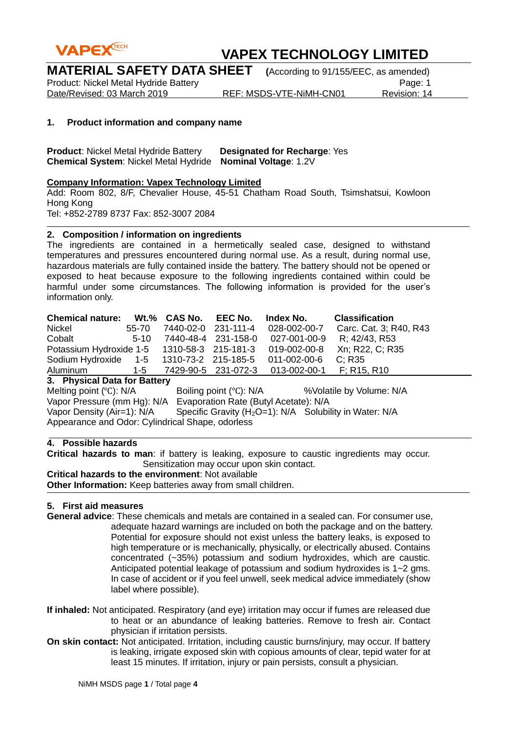

**MATERIAL SAFETY DATA SHEET (**According to 91/155/EEC, as amended)

Product: Nickel Metal Hydride Battery<br>Date/Revised: 03 March 2019 REF: MSDS-VTE-NiMH-CN01 Revision: 14 Date/Revised: 03 March 2019

### **1. Product information and company name**

**Product**: Nickel Metal Hydride Battery **Designated for Recharge**: Yes **Chemical System**: Nickel Metal Hydride **Nominal Voltage**: 1.2V

### **Company Information: Vapex Technology Limited**

Add: Room 802, 8/F, Chevalier House, 45-51 Chatham Road South, Tsimshatsui, Kowloon Hong Kong Tel: +852-2789 8737 Fax: 852-3007 2084

### **2. Composition / information on ingredients**

The ingredients are contained in a hermetically sealed case, designed to withstand temperatures and pressures encountered during normal use. As a result, during normal use, hazardous materials are fully contained inside the battery. The battery should not be opened or exposed to heat because exposure to the following ingredients contained within could be harmful under some circumstances. The following information is provided for the user's information only.

| <b>Chemical nature:</b>                               |        |                     | Wt.% CAS No. EEC No. | Index No.    | <b>Classification</b>  |
|-------------------------------------------------------|--------|---------------------|----------------------|--------------|------------------------|
| Nickel                                                | 55-70  | 7440-02-0 231-111-4 |                      | 028-002-00-7 | Carc. Cat. 3; R40, R43 |
| Cobalt                                                | $5-10$ |                     | 7440-48-4 231-158-0  | 027-001-00-9 | R; 42/43, R53          |
| Potassium Hydroxide 1-5 1310-58-3 215-181-3           |        |                     |                      | 019-002-00-8 | Xn; R22, C; R35        |
| Sodium Hydroxide 1-5 1310-73-2 215-185-5 011-002-00-6 |        |                     |                      |              | C: R35                 |
| Aluminum                                              |        |                     |                      |              |                        |
| 2. Bluebal Bata fax Battany                           |        |                     |                      |              |                        |

**3. Physical Data for Battery**

Melting point (°C): N/A Boiling point (°C): N/A %Volatile by Volume: N/A Vapor Pressure (mm Hg): N/A Evaporation Rate (Butyl Acetate): N/A Vapor Density (Air=1):  $N/A$  Specific Gravity (H<sub>2</sub>O=1):  $N/A$  Solubility in Water: N/A Appearance and Odor: Cylindrical Shape, odorless

### **4. Possible hazards**

**Critical hazards to man**: if battery is leaking, exposure to caustic ingredients may occur. Sensitization may occur upon skin contact.

#### **Critical hazards to the environment**: Not available

**Other Information:** Keep batteries away from small children.

### **5. First aid measures**

- **General advice**: These chemicals and metals are contained in a sealed can. For consumer use, adequate hazard warnings are included on both the package and on the battery. Potential for exposure should not exist unless the battery leaks, is exposed to high temperature or is mechanically, physically, or electrically abused. Contains concentrated (~35%) potassium and sodium hydroxides, which are caustic. Anticipated potential leakage of potassium and sodium hydroxides is 1~2 gms. In case of accident or if you feel unwell, seek medical advice immediately (show label where possible).
- **If inhaled:** Not anticipated. Respiratory (and eye) irritation may occur if fumes are released due to heat or an abundance of leaking batteries. Remove to fresh air. Contact physician if irritation persists.
- **On skin contact:** Not anticipated. Irritation, including caustic burns/injury, may occur. If battery is leaking, irrigate exposed skin with copious amounts of clear, tepid water for at least 15 minutes. If irritation, injury or pain persists, consult a physician.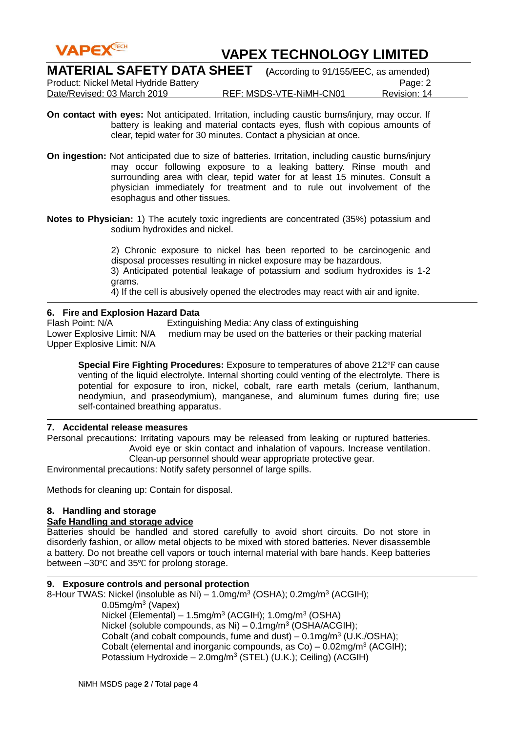

| <b>MATERIAL SAFETY DATA SHEET</b>     | (According to 91/155/EEC, as amended) |              |
|---------------------------------------|---------------------------------------|--------------|
| Product: Nickel Metal Hydride Battery |                                       | Page: 2      |
| Date/Revised: 03 March 2019           | REF: MSDS-VTE-NiMH-CN01               | Revision: 14 |

- **On contact with eyes:** Not anticipated. Irritation, including caustic burns/injury, may occur. If battery is leaking and material contacts eyes, flush with copious amounts of clear, tepid water for 30 minutes. Contact a physician at once.
- **On ingestion:** Not anticipated due to size of batteries. Irritation, including caustic burns/injury may occur following exposure to a leaking battery. Rinse mouth and surrounding area with clear, tepid water for at least 15 minutes. Consult a physician immediately for treatment and to rule out involvement of the esophagus and other tissues.
- **Notes to Physician:** 1) The acutely toxic ingredients are concentrated (35%) potassium and sodium hydroxides and nickel.

2) Chronic exposure to nickel has been reported to be carcinogenic and disposal processes resulting in nickel exposure may be hazardous. 3) Anticipated potential leakage of potassium and sodium hydroxides is 1-2 grams.

4) If the cell is abusively opened the electrodes may react with air and ignite.

### **6. Fire and Explosion Hazard Data**

Flash Point: N/A Extinguishing Media: Any class of extinguishing Lower Explosive Limit: N/A medium may be used on the batteries or their packing material Upper Explosive Limit: N/A

**Special Fire Fighting Procedures:** Exposure to temperatures of above 212°F can cause venting of the liquid electrolyte. Internal shorting could venting of the electrolyte. There is potential for exposure to iron, nickel, cobalt, rare earth metals (cerium, lanthanum, neodymiun, and praseodymium), manganese, and aluminum fumes during fire; use self-contained breathing apparatus.

### **7. Accidental release measures**

Personal precautions: Irritating vapours may be released from leaking or ruptured batteries. Avoid eye or skin contact and inhalation of vapours. Increase ventilation. Clean-up personnel should wear appropriate protective gear.

Environmental precautions: Notify safety personnel of large spills.

Methods for cleaning up: Contain for disposal.

### **8. Handling and storage**

### **Safe Handling and storage advice**

Batteries should be handled and stored carefully to avoid short circuits. Do not store in disorderly fashion, or allow metal objects to be mixed with stored batteries. Never disassemble a battery. Do not breathe cell vapors or touch internal material with bare hands. Keep batteries between –30℃ and 35℃ for prolong storage.

#### **9. Exposure controls and personal protection**

8-Hour TWAS: Nickel (insoluble as Ni)  $-1.0$ mg/m<sup>3</sup> (OSHA); 0.2mg/m<sup>3</sup> (ACGIH);

0.05mg/m<sup>3</sup> (Vapex)

Nickel (Elemental) – 1.5mg/m<sup>3</sup> (ACGIH); 1.0mg/m<sup>3</sup> (OSHA) Nickel (soluble compounds, as Ni) – 0.1mg/m<sup>3</sup> (OSHA/ACGIH); Cobalt (and cobalt compounds, fume and dust)  $-$  0.1mg/m<sup>3</sup> (U.K./OSHA); Cobalt (elemental and inorganic compounds, as  $Co$ ) – 0.02mg/m<sup>3</sup> (ACGIH); Potassium Hydroxide - 2.0mg/m<sup>3</sup> (STEL) (U.K.); Ceiling) (ACGIH)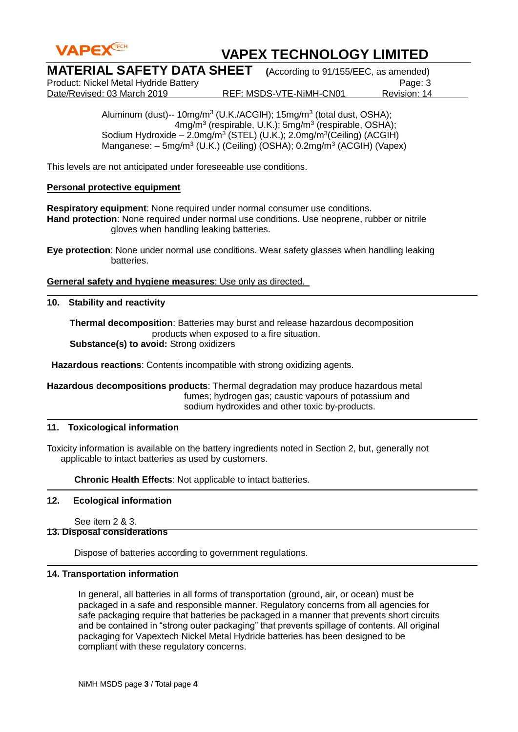

| <b>MATERIAL SAFETY DATA SHEET</b> (According to 91/155/EEC, as amended) |  |
|-------------------------------------------------------------------------|--|
|                                                                         |  |

Product: Nickel Metal Hydride Battery<br>Date/Revised: 03 March 2019 **REF: MSDS-VTE-NiMH-CN01** Payision: 14

REF: MSDS-VTE-NiMH-CN01

Aluminum (dust)-- 10mg/m<sup>3</sup> (U.K./ACGIH); 15mg/m<sup>3</sup> (total dust, OSHA); 4mg/m<sup>3</sup> (respirable, U.K.); 5mg/m<sup>3</sup> (respirable, OSHA); Sodium Hydroxide - 2.0mg/m<sup>3</sup> (STEL) (U.K.); 2.0mg/m<sup>3</sup>(Ceiling) (ACGIH) Manganese: - 5mg/m<sup>3</sup> (U.K.) (Ceiling) (OSHA); 0.2mg/m<sup>3</sup> (ACGIH) (Vapex)

This levels are not anticipated under foreseeable use conditions.

### **Personal protective equipment**

**Respiratory equipment**: None required under normal consumer use conditions. **Hand protection**: None required under normal use conditions. Use neoprene, rubber or nitrile gloves when handling leaking batteries.

**Eye protection**: None under normal use conditions. Wear safety glasses when handling leaking batteries.

**Gerneral safety and hygiene measures**: Use only as directed.

### **10. Stability and reactivity**

 **Thermal decomposition**: Batteries may burst and release hazardous decomposition products when exposed to a fire situation. **Substance(s) to avoid:** Strong oxidizers

**Hazardous reactions**: Contents incompatible with strong oxidizing agents.

**Hazardous decompositions products**: Thermal degradation may produce hazardous metal fumes; hydrogen gas; caustic vapours of potassium and sodium hydroxides and other toxic by-products.

### **11. Toxicological information**

Toxicity information is available on the battery ingredients noted in Section 2, but, generally not applicable to intact batteries as used by customers.

**Chronic Health Effects**: Not applicable to intact batteries.

### **12. Ecological information**

See item 2 & 3.

### **13. Disposal considerations**

Dispose of batteries according to government regulations.

### **14. Transportation information**

In general, all batteries in all forms of transportation (ground, air, or ocean) must be packaged in a safe and responsible manner. Regulatory concerns from all agencies for safe packaging require that batteries be packaged in a manner that prevents short circuits and be contained in "strong outer packaging" that prevents spillage of contents. All original packaging for Vapextech Nickel Metal Hydride batteries has been designed to be compliant with these regulatory concerns.